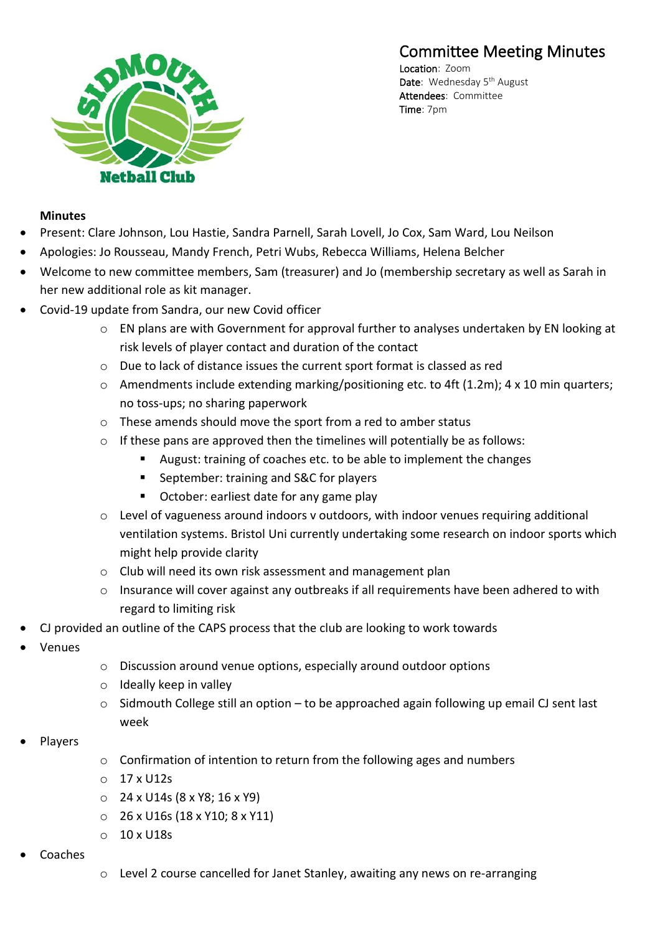# Committee Meeting Minutes



Location: Zoom Date: Wednesday 5<sup>th</sup> August Attendees: Committee Time: 7pm

#### **Minutes**

- Present: Clare Johnson, Lou Hastie, Sandra Parnell, Sarah Lovell, Jo Cox, Sam Ward, Lou Neilson
- Apologies: Jo Rousseau, Mandy French, Petri Wubs, Rebecca Williams, Helena Belcher
- Welcome to new committee members, Sam (treasurer) and Jo (membership secretary as well as Sarah in her new additional role as kit manager.
- Covid-19 update from Sandra, our new Covid officer
	- o EN plans are with Government for approval further to analyses undertaken by EN looking at risk levels of player contact and duration of the contact
	- o Due to lack of distance issues the current sport format is classed as red
	- o Amendments include extending marking/positioning etc. to 4ft (1.2m); 4 x 10 min quarters; no toss-ups; no sharing paperwork
	- o These amends should move the sport from a red to amber status
	- o If these pans are approved then the timelines will potentially be as follows:
		- August: training of coaches etc. to be able to implement the changes
		- September: training and S&C for players
		- October: earliest date for any game play
	- o Level of vagueness around indoors v outdoors, with indoor venues requiring additional ventilation systems. Bristol Uni currently undertaking some research on indoor sports which might help provide clarity
	- o Club will need its own risk assessment and management plan
	- o Insurance will cover against any outbreaks if all requirements have been adhered to with regard to limiting risk
- CJ provided an outline of the CAPS process that the club are looking to work towards
- Venues
- o Discussion around venue options, especially around outdoor options
- o Ideally keep in valley
- o Sidmouth College still an option to be approached again following up email CJ sent last week
- Players
- $\circ$  Confirmation of intention to return from the following ages and numbers
- o 17 x U12s
- o 24 x U14s (8 x Y8; 16 x Y9)
- o 26 x U16s (18 x Y10; 8 x Y11)
- o 10 x U18s
- Coaches
- o Level 2 course cancelled for Janet Stanley, awaiting any news on re-arranging